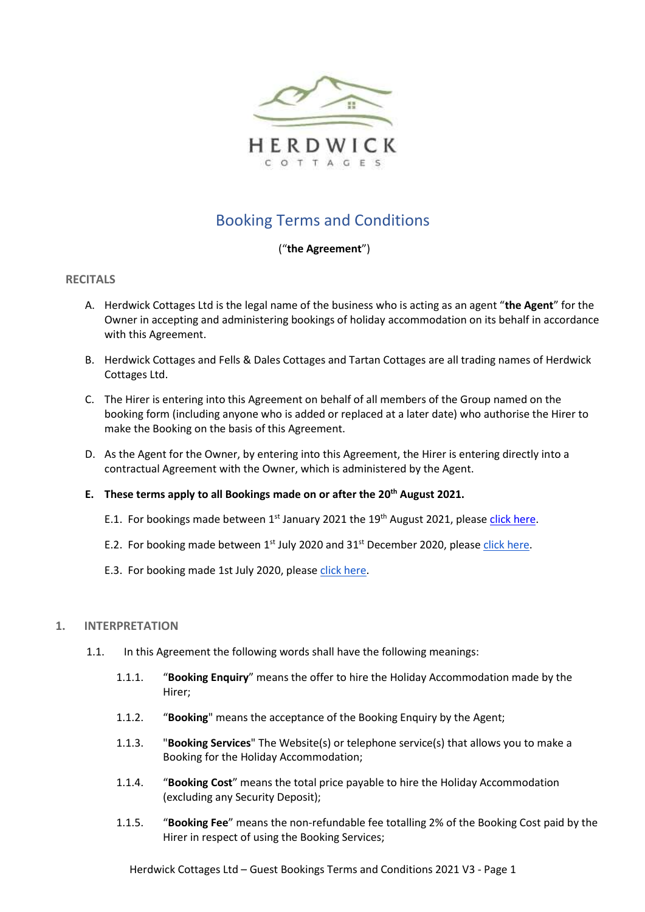

# Booking Terms and Conditions

# ("**the Agreement**")

# **RECITALS**

- A. Herdwick Cottages Ltd is the legal name of the business who is acting as an agent "**the Agent**" for the Owner in accepting and administering bookings of holiday accommodation on its behalf in accordance with this Agreement.
- B. Herdwick Cottages and Fells & Dales Cottages and Tartan Cottages are all trading names of Herdwick Cottages Ltd.
- C. The Hirer is entering into this Agreement on behalf of all members of the Group named on the booking form (including anyone who is added or replaced at a later date) who authorise the Hirer to make the Booking on the basis of this Agreement.
- D. As the Agent for the Owner, by entering into this Agreement, the Hirer is entering directly into a contractual Agreement with the Owner, which is administered by the Agent.

## **E. These terms apply to all Bookings made on or after the 20th August 2021.**

- E.1. For bookings made between 1<sup>st</sup> January 2021 the 19<sup>th</sup> August 2021, please [click here.](https://www.herdwickcottages.co.uk/wp-content/uploads/2021/08/Guest-Booking-Terms-and-Conditions-2021-V2.pdf)
- E.2. For booking made between 1<sup>st</sup> July 2020 and 31<sup>st</sup> December 2020, please [click here.](https://www.herdwickcottages.co.uk/wp-content/uploads/2021/01/Guest-Booking-Terms-and-Conditions-01.07.2020-MasterCancel.pdf)
- E.3. For booking made 1st July 2020, pleas[e click here.](https://www.herdwickcottages.co.uk/wp-content/uploads/2021/01/Guest-Booking-Terms-and-Conditions-Herdwick-Cottages-01.08.pdf)

## **1. INTERPRETATION**

- 1.1. In this Agreement the following words shall have the following meanings:
	- 1.1.1. "**Booking Enquiry**" means the offer to hire the Holiday Accommodation made by the Hirer;
	- 1.1.2. "**Booking**" means the acceptance of the Booking Enquiry by the Agent;
	- 1.1.3. "**Booking Services**" The Website(s) or telephone service(s) that allows you to make a Booking for the Holiday Accommodation;
	- 1.1.4. "**Booking Cost**" means the total price payable to hire the Holiday Accommodation (excluding any Security Deposit);
	- 1.1.5. "**Booking Fee**" means the non-refundable fee totalling 2% of the Booking Cost paid by the Hirer in respect of using the Booking Services;

Herdwick Cottages Ltd – Guest Bookings Terms and Conditions 2021 V3 - Page 1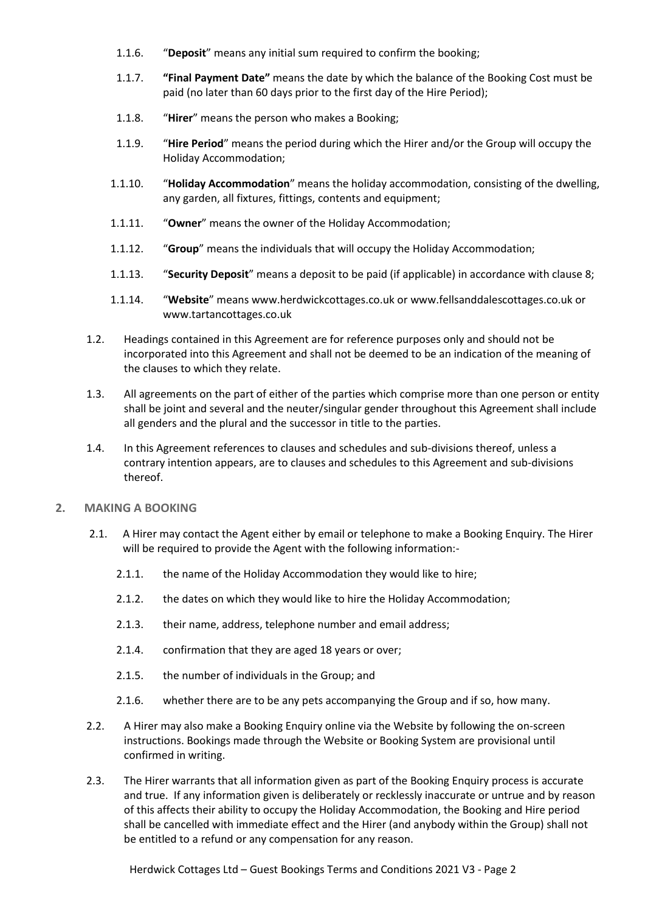- 1.1.6. "**Deposit**" means any initial sum required to confirm the booking;
- 1.1.7. **"Final Payment Date"** means the date by which the balance of the Booking Cost must be paid (no later than 60 days prior to the first day of the Hire Period);
- 1.1.8. "**Hirer**" means the person who makes a Booking;
- 1.1.9. "**Hire Period**" means the period during which the Hirer and/or the Group will occupy the Holiday Accommodation;
- 1.1.10. "**Holiday Accommodation**" means the holiday accommodation, consisting of the dwelling, any garden, all fixtures, fittings, contents and equipment;
- 1.1.11. "**Owner**" means the owner of the Holiday Accommodation;
- 1.1.12. "**Group**" means the individuals that will occupy the Holiday Accommodation;
- 1.1.13. "**Security Deposit**" means a deposit to be paid (if applicable) in accordance with clause 8;
- 1.1.14. "**Website**" means www.herdwickcottages.co.uk or www.fellsanddalescottages.co.uk or www.tartancottages.co.uk
- 1.2. Headings contained in this Agreement are for reference purposes only and should not be incorporated into this Agreement and shall not be deemed to be an indication of the meaning of the clauses to which they relate.
- 1.3. All agreements on the part of either of the parties which comprise more than one person or entity shall be joint and several and the neuter/singular gender throughout this Agreement shall include all genders and the plural and the successor in title to the parties.
- 1.4. In this Agreement references to clauses and schedules and sub-divisions thereof, unless a contrary intention appears, are to clauses and schedules to this Agreement and sub-divisions thereof.
- **2. MAKING A BOOKING**
	- 2.1. A Hirer may contact the Agent either by email or telephone to make a Booking Enquiry. The Hirer will be required to provide the Agent with the following information:-
		- 2.1.1. the name of the Holiday Accommodation they would like to hire;
		- 2.1.2. the dates on which they would like to hire the Holiday Accommodation;
		- 2.1.3. their name, address, telephone number and email address;
		- 2.1.4. confirmation that they are aged 18 years or over;
		- 2.1.5. the number of individuals in the Group; and
		- 2.1.6. whether there are to be any pets accompanying the Group and if so, how many.
	- 2.2. A Hirer may also make a Booking Enquiry online via the Website by following the on-screen instructions. Bookings made through the Website or Booking System are provisional until confirmed in writing.
	- 2.3. The Hirer warrants that all information given as part of the Booking Enquiry process is accurate and true. If any information given is deliberately or recklessly inaccurate or untrue and by reason of this affects their ability to occupy the Holiday Accommodation, the Booking and Hire period shall be cancelled with immediate effect and the Hirer (and anybody within the Group) shall not be entitled to a refund or any compensation for any reason.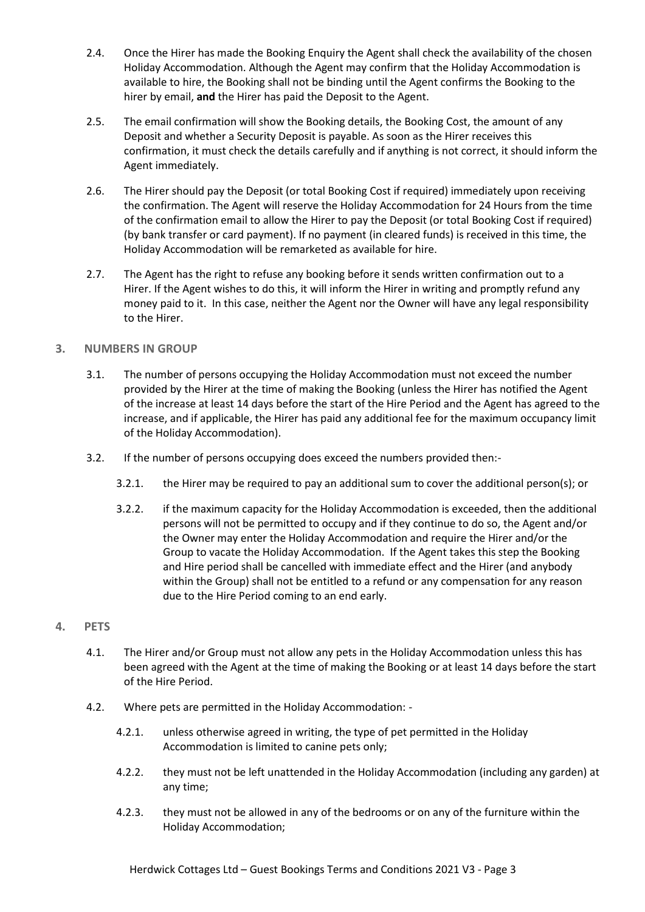- 2.4. Once the Hirer has made the Booking Enquiry the Agent shall check the availability of the chosen Holiday Accommodation. Although the Agent may confirm that the Holiday Accommodation is available to hire, the Booking shall not be binding until the Agent confirms the Booking to the hirer by email, **and** the Hirer has paid the Deposit to the Agent.
- 2.5. The email confirmation will show the Booking details, the Booking Cost, the amount of any Deposit and whether a Security Deposit is payable. As soon as the Hirer receives this confirmation, it must check the details carefully and if anything is not correct, it should inform the Agent immediately.
- 2.6. The Hirer should pay the Deposit (or total Booking Cost if required) immediately upon receiving the confirmation. The Agent will reserve the Holiday Accommodation for 24 Hours from the time of the confirmation email to allow the Hirer to pay the Deposit (or total Booking Cost if required) (by bank transfer or card payment). If no payment (in cleared funds) is received in this time, the Holiday Accommodation will be remarketed as available for hire.
- 2.7. The Agent has the right to refuse any booking before it sends written confirmation out to a Hirer. If the Agent wishes to do this, it will inform the Hirer in writing and promptly refund any money paid to it. In this case, neither the Agent nor the Owner will have any legal responsibility to the Hirer.

# **3. NUMBERS IN GROUP**

- 3.1. The number of persons occupying the Holiday Accommodation must not exceed the number provided by the Hirer at the time of making the Booking (unless the Hirer has notified the Agent of the increase at least 14 days before the start of the Hire Period and the Agent has agreed to the increase, and if applicable, the Hirer has paid any additional fee for the maximum occupancy limit of the Holiday Accommodation).
- 3.2. If the number of persons occupying does exceed the numbers provided then:-
	- 3.2.1. the Hirer may be required to pay an additional sum to cover the additional person(s); or
	- 3.2.2. if the maximum capacity for the Holiday Accommodation is exceeded, then the additional persons will not be permitted to occupy and if they continue to do so, the Agent and/or the Owner may enter the Holiday Accommodation and require the Hirer and/or the Group to vacate the Holiday Accommodation. If the Agent takes this step the Booking and Hire period shall be cancelled with immediate effect and the Hirer (and anybody within the Group) shall not be entitled to a refund or any compensation for any reason due to the Hire Period coming to an end early.

## **4. PETS**

- 4.1. The Hirer and/or Group must not allow any pets in the Holiday Accommodation unless this has been agreed with the Agent at the time of making the Booking or at least 14 days before the start of the Hire Period.
- 4.2. Where pets are permitted in the Holiday Accommodation:
	- 4.2.1. unless otherwise agreed in writing, the type of pet permitted in the Holiday Accommodation is limited to canine pets only;
	- 4.2.2. they must not be left unattended in the Holiday Accommodation (including any garden) at any time;
	- 4.2.3. they must not be allowed in any of the bedrooms or on any of the furniture within the Holiday Accommodation;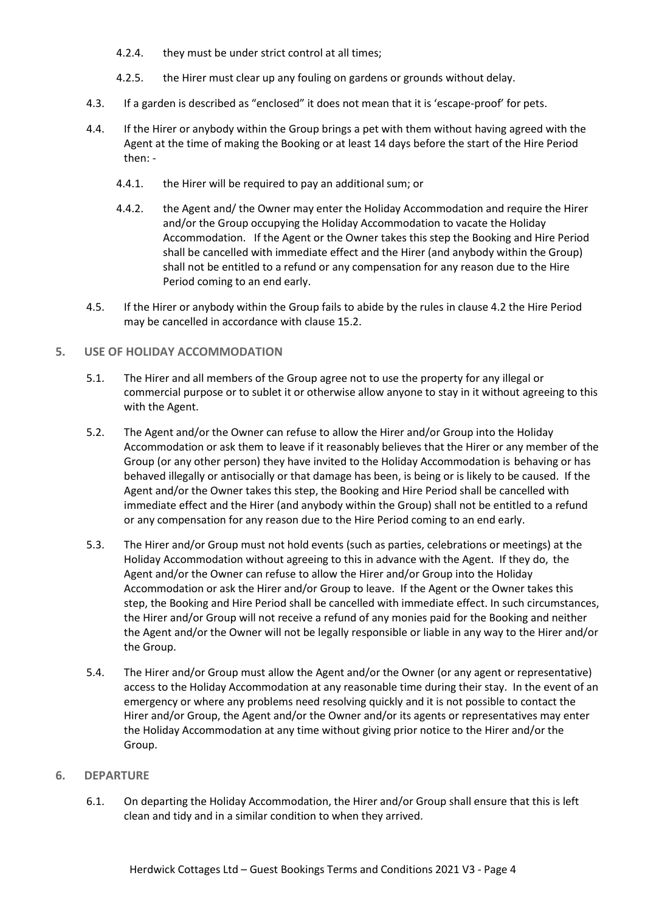- 4.2.4. they must be under strict control at all times;
- 4.2.5. the Hirer must clear up any fouling on gardens or grounds without delay.
- 4.3. If a garden is described as "enclosed" it does not mean that it is 'escape-proof' for pets.
- 4.4. If the Hirer or anybody within the Group brings a pet with them without having agreed with the Agent at the time of making the Booking or at least 14 days before the start of the Hire Period then: -
	- 4.4.1. the Hirer will be required to pay an additional sum; or
	- 4.4.2. the Agent and/ the Owner may enter the Holiday Accommodation and require the Hirer and/or the Group occupying the Holiday Accommodation to vacate the Holiday Accommodation. If the Agent or the Owner takes this step the Booking and Hire Period shall be cancelled with immediate effect and the Hirer (and anybody within the Group) shall not be entitled to a refund or any compensation for any reason due to the Hire Period coming to an end early.
- 4.5. If the Hirer or anybody within the Group fails to abide by the rules in clause 4.2 the Hire Period may be cancelled in accordance with clause 15.2.

## **5. USE OF HOLIDAY ACCOMMODATION**

- 5.1. The Hirer and all members of the Group agree not to use the property for any illegal or commercial purpose or to sublet it or otherwise allow anyone to stay in it without agreeing to this with the Agent.
- 5.2. The Agent and/or the Owner can refuse to allow the Hirer and/or Group into the Holiday Accommodation or ask them to leave if it reasonably believes that the Hirer or any member of the Group (or any other person) they have invited to the Holiday Accommodation is behaving or has behaved illegally or antisocially or that damage has been, is being or is likely to be caused. If the Agent and/or the Owner takes this step, the Booking and Hire Period shall be cancelled with immediate effect and the Hirer (and anybody within the Group) shall not be entitled to a refund or any compensation for any reason due to the Hire Period coming to an end early.
- 5.3. The Hirer and/or Group must not hold events (such as parties, celebrations or meetings) at the Holiday Accommodation without agreeing to this in advance with the Agent. If they do, the Agent and/or the Owner can refuse to allow the Hirer and/or Group into the Holiday Accommodation or ask the Hirer and/or Group to leave. If the Agent or the Owner takes this step, the Booking and Hire Period shall be cancelled with immediate effect. In such circumstances, the Hirer and/or Group will not receive a refund of any monies paid for the Booking and neither the Agent and/or the Owner will not be legally responsible or liable in any way to the Hirer and/or the Group.
- 5.4. The Hirer and/or Group must allow the Agent and/or the Owner (or any agent or representative) access to the Holiday Accommodation at any reasonable time during their stay. In the event of an emergency or where any problems need resolving quickly and it is not possible to contact the Hirer and/or Group, the Agent and/or the Owner and/or its agents or representatives may enter the Holiday Accommodation at any time without giving prior notice to the Hirer and/or the Group.

## **6. DEPARTURE**

6.1. On departing the Holiday Accommodation, the Hirer and/or Group shall ensure that this is left clean and tidy and in a similar condition to when they arrived.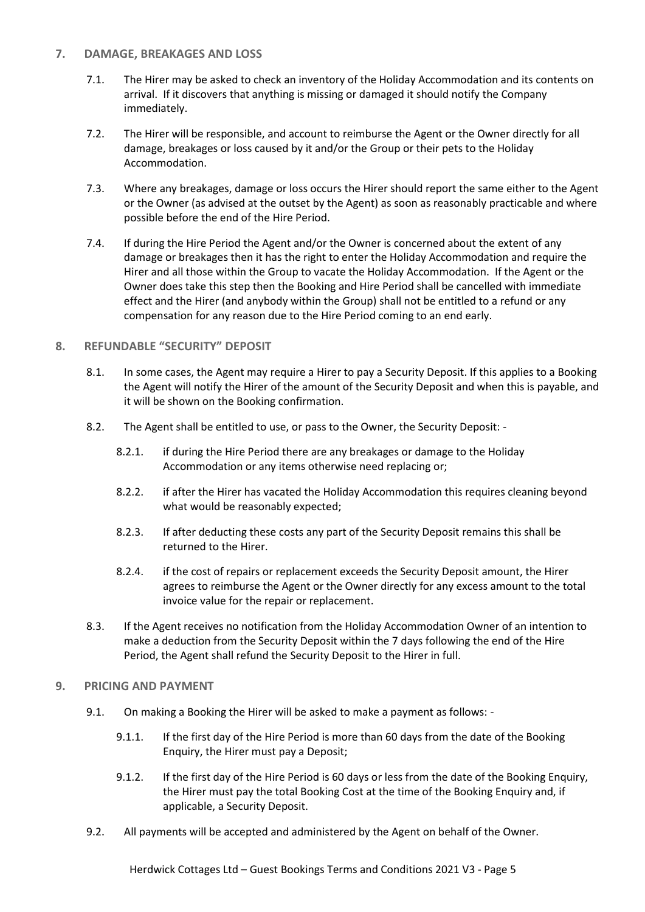# **7. DAMAGE, BREAKAGES AND LOSS**

- 7.1. The Hirer may be asked to check an inventory of the Holiday Accommodation and its contents on arrival. If it discovers that anything is missing or damaged it should notify the Company immediately.
- 7.2. The Hirer will be responsible, and account to reimburse the Agent or the Owner directly for all damage, breakages or loss caused by it and/or the Group or their pets to the Holiday Accommodation.
- 7.3. Where any breakages, damage or loss occurs the Hirer should report the same either to the Agent or the Owner (as advised at the outset by the Agent) as soon as reasonably practicable and where possible before the end of the Hire Period.
- 7.4. If during the Hire Period the Agent and/or the Owner is concerned about the extent of any damage or breakages then it has the right to enter the Holiday Accommodation and require the Hirer and all those within the Group to vacate the Holiday Accommodation. If the Agent or the Owner does take this step then the Booking and Hire Period shall be cancelled with immediate effect and the Hirer (and anybody within the Group) shall not be entitled to a refund or any compensation for any reason due to the Hire Period coming to an end early.

# **8. REFUNDABLE "SECURITY" DEPOSIT**

- 8.1. In some cases, the Agent may require a Hirer to pay a Security Deposit. If this applies to a Booking the Agent will notify the Hirer of the amount of the Security Deposit and when this is payable, and it will be shown on the Booking confirmation.
- 8.2. The Agent shall be entitled to use, or pass to the Owner, the Security Deposit:
	- 8.2.1. if during the Hire Period there are any breakages or damage to the Holiday Accommodation or any items otherwise need replacing or;
	- 8.2.2. if after the Hirer has vacated the Holiday Accommodation this requires cleaning beyond what would be reasonably expected;
	- 8.2.3. If after deducting these costs any part of the Security Deposit remains this shall be returned to the Hirer.
	- 8.2.4. if the cost of repairs or replacement exceeds the Security Deposit amount, the Hirer agrees to reimburse the Agent or the Owner directly for any excess amount to the total invoice value for the repair or replacement.
- 8.3. If the Agent receives no notification from the Holiday Accommodation Owner of an intention to make a deduction from the Security Deposit within the 7 days following the end of the Hire Period, the Agent shall refund the Security Deposit to the Hirer in full.

## **9. PRICING AND PAYMENT**

- 9.1. On making a Booking the Hirer will be asked to make a payment as follows:
	- 9.1.1. If the first day of the Hire Period is more than 60 days from the date of the Booking Enquiry, the Hirer must pay a Deposit;
	- 9.1.2. If the first day of the Hire Period is 60 days or less from the date of the Booking Enquiry, the Hirer must pay the total Booking Cost at the time of the Booking Enquiry and, if applicable, a Security Deposit.
- 9.2. All payments will be accepted and administered by the Agent on behalf of the Owner.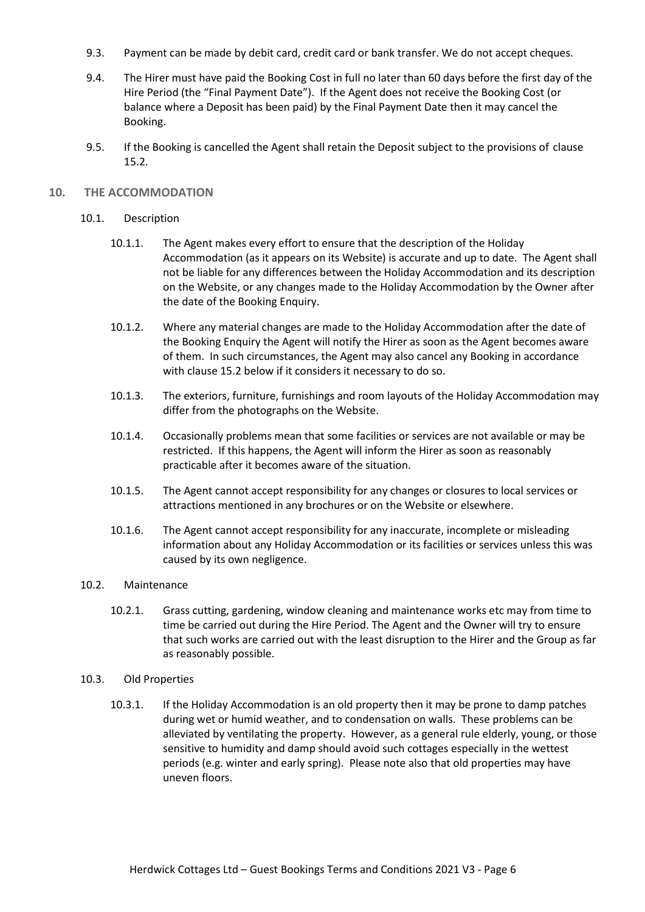- 9.3. Payment can be made by debit card, credit card or bank transfer. We do not accept cheques.
- 9.4. The Hirer must have paid the Booking Cost in full no later than 60 days before the first day of the Hire Period (the "Final Payment Date"). If the Agent does not receive the Booking Cost (or balance where a Deposit has been paid) by the Final Payment Date then it may cancel the Booking.
- 9.5. If the Booking is cancelled the Agent shall retain the Deposit subject to the provisions of clause 15.2.

#### **10. THE ACCOMMODATION**

#### 10.1. Description

- 10.1.1. The Agent makes every effort to ensure that the description of the Holiday Accommodation (as it appears on its Website) is accurate and up to date. The Agent shall not be liable for any differences between the Holiday Accommodation and its description on the Website, or any changes made to the Holiday Accommodation by the Owner after the date of the Booking Enquiry.
- 10.1.2. Where any material changes are made to the Holiday Accommodation after the date of the Booking Enquiry the Agent will notify the Hirer as soon as the Agent becomes aware of them. In such circumstances, the Agent may also cancel any Booking in accordance with clause 15.2 below if it considers it necessary to do so.
- 10.1.3. The exteriors, furniture, furnishings and room layouts of the Holiday Accommodation may differ from the photographs on the Website.
- 10.1.4. Occasionally problems mean that some facilities or services are not available or may be restricted. If this happens, the Agent will inform the Hirer as soon as reasonably practicable after it becomes aware of the situation.
- 10.1.5. The Agent cannot accept responsibility for any changes or closures to local services or attractions mentioned in any brochures or on the Website or elsewhere.
- 10.1.6. The Agent cannot accept responsibility for any inaccurate, incomplete or misleading information about any Holiday Accommodation or its facilities or services unless this was caused by its own negligence.

#### 10.2. Maintenance

10.2.1. Grass cutting, gardening, window cleaning and maintenance works etc may from time to time be carried out during the Hire Period. The Agent and the Owner will try to ensure that such works are carried out with the least disruption to the Hirer and the Group as far as reasonably possible.

#### 10.3. Old Properties

10.3.1. If the Holiday Accommodation is an old property then it may be prone to damp patches during wet or humid weather, and to condensation on walls. These problems can be alleviated by ventilating the property. However, as a general rule elderly, young, or those sensitive to humidity and damp should avoid such cottages especially in the wettest periods (e.g. winter and early spring). Please note also that old properties may have uneven floors.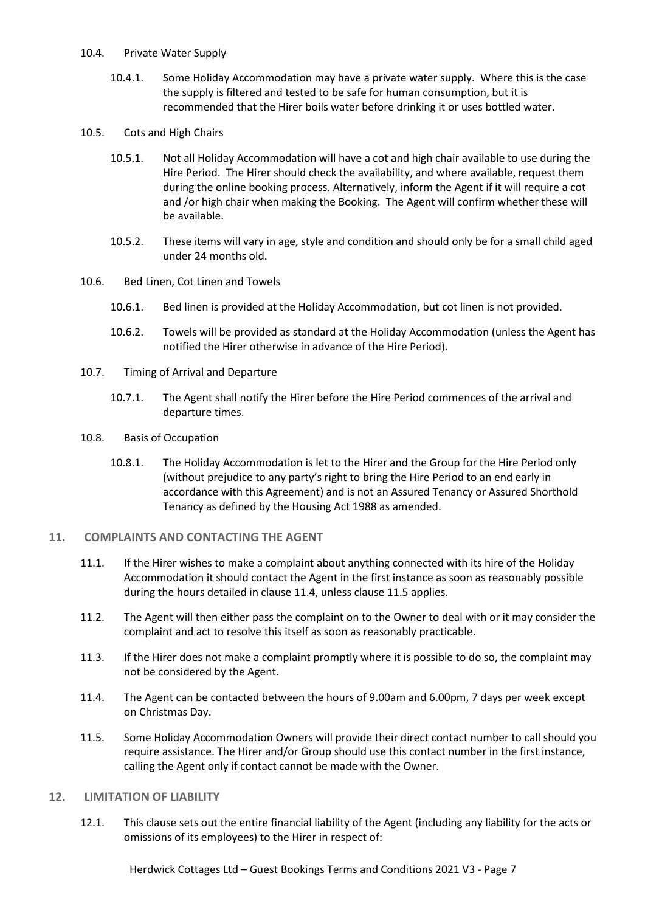#### 10.4. Private Water Supply

- 10.4.1. Some Holiday Accommodation may have a private water supply. Where this is the case the supply is filtered and tested to be safe for human consumption, but it is recommended that the Hirer boils water before drinking it or uses bottled water.
- 10.5. Cots and High Chairs
	- 10.5.1. Not all Holiday Accommodation will have a cot and high chair available to use during the Hire Period. The Hirer should check the availability, and where available, request them during the online booking process. Alternatively, inform the Agent if it will require a cot and /or high chair when making the Booking. The Agent will confirm whether these will be available.
	- 10.5.2. These items will vary in age, style and condition and should only be for a small child aged under 24 months old.
- 10.6. Bed Linen, Cot Linen and Towels
	- 10.6.1. Bed linen is provided at the Holiday Accommodation, but cot linen is not provided.
	- 10.6.2. Towels will be provided as standard at the Holiday Accommodation (unless the Agent has notified the Hirer otherwise in advance of the Hire Period).
- 10.7. Timing of Arrival and Departure
	- 10.7.1. The Agent shall notify the Hirer before the Hire Period commences of the arrival and departure times.
- 10.8. Basis of Occupation
	- 10.8.1. The Holiday Accommodation is let to the Hirer and the Group for the Hire Period only (without prejudice to any party's right to bring the Hire Period to an end early in accordance with this Agreement) and is not an Assured Tenancy or Assured Shorthold Tenancy as defined by the Housing Act 1988 as amended.

## **11. COMPLAINTS AND CONTACTING THE AGENT**

- 11.1. If the Hirer wishes to make a complaint about anything connected with its hire of the Holiday Accommodation it should contact the Agent in the first instance as soon as reasonably possible during the hours detailed in clause 11.4, unless clause 11.5 applies.
- 11.2. The Agent will then either pass the complaint on to the Owner to deal with or it may consider the complaint and act to resolve this itself as soon as reasonably practicable.
- 11.3. If the Hirer does not make a complaint promptly where it is possible to do so, the complaint may not be considered by the Agent.
- 11.4. The Agent can be contacted between the hours of 9.00am and 6.00pm, 7 days per week except on Christmas Day.
- 11.5. Some Holiday Accommodation Owners will provide their direct contact number to call should you require assistance. The Hirer and/or Group should use this contact number in the first instance, calling the Agent only if contact cannot be made with the Owner.

## **12. LIMITATION OF LIABILITY**

12.1. This clause sets out the entire financial liability of the Agent (including any liability for the acts or omissions of its employees) to the Hirer in respect of:

Herdwick Cottages Ltd – Guest Bookings Terms and Conditions 2021 V3 - Page 7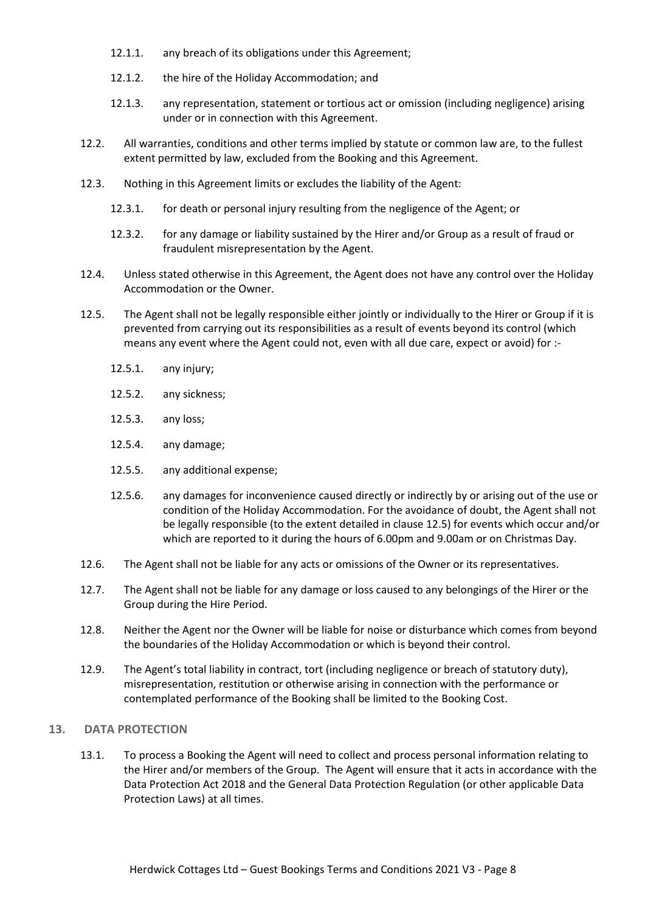- 12.1.1. any breach of its obligations under this Agreement;
- 12.1.2. the hire of the Holiday Accommodation; and
- 12.1.3. any representation, statement or tortious act or omission (including negligence) arising under or in connection with this Agreement.
- 12.2. All warranties, conditions and other terms implied by statute or common law are, to the fullest extent permitted by law, excluded from the Booking and this Agreement.
- 12.3. Nothing in this Agreement limits or excludes the liability of the Agent:
	- 12.3.1. for death or personal injury resulting from the negligence of the Agent; or
	- 12.3.2. for any damage or liability sustained by the Hirer and/or Group as a result of fraud or fraudulent misrepresentation by the Agent.
- 12.4. Unless stated otherwise in this Agreement, the Agent does not have any control over the Holiday Accommodation or the Owner.
- 12.5. The Agent shall not be legally responsible either jointly or individually to the Hirer or Group if it is prevented from carrying out its responsibilities as a result of events beyond its control (which means any event where the Agent could not, even with all due care, expect or avoid) for :-
	- 12.5.1. any injury;
	- 12.5.2. any sickness;
	- 12.5.3. any loss;
	- 12.5.4. any damage;
	- 12.5.5. any additional expense;
	- 12.5.6. any damages for inconvenience caused directly or indirectly by or arising out of the use or condition of the Holiday Accommodation. For the avoidance of doubt, the Agent shall not be legally responsible (to the extent detailed in clause 12.5) for events which occur and/or which are reported to it during the hours of 6.00pm and 9.00am or on Christmas Day.
- 12.6. The Agent shall not be liable for any acts or omissions of the Owner or its representatives.
- 12.7. The Agent shall not be liable for any damage or loss caused to any belongings of the Hirer or the Group during the Hire Period.
- 12.8. Neither the Agent nor the Owner will be liable for noise or disturbance which comes from beyond the boundaries of the Holiday Accommodation or which is beyond their control.
- 12.9. The Agent's total liability in contract, tort (including negligence or breach of statutory duty), misrepresentation, restitution or otherwise arising in connection with the performance or contemplated performance of the Booking shall be limited to the Booking Cost.

#### **13. DATA PROTECTION**

13.1. To process a Booking the Agent will need to collect and process personal information relating to the Hirer and/or members of the Group. The Agent will ensure that it acts in accordance with the Data Protection Act 2018 and the General Data Protection Regulation (or other applicable Data Protection Laws) at all times.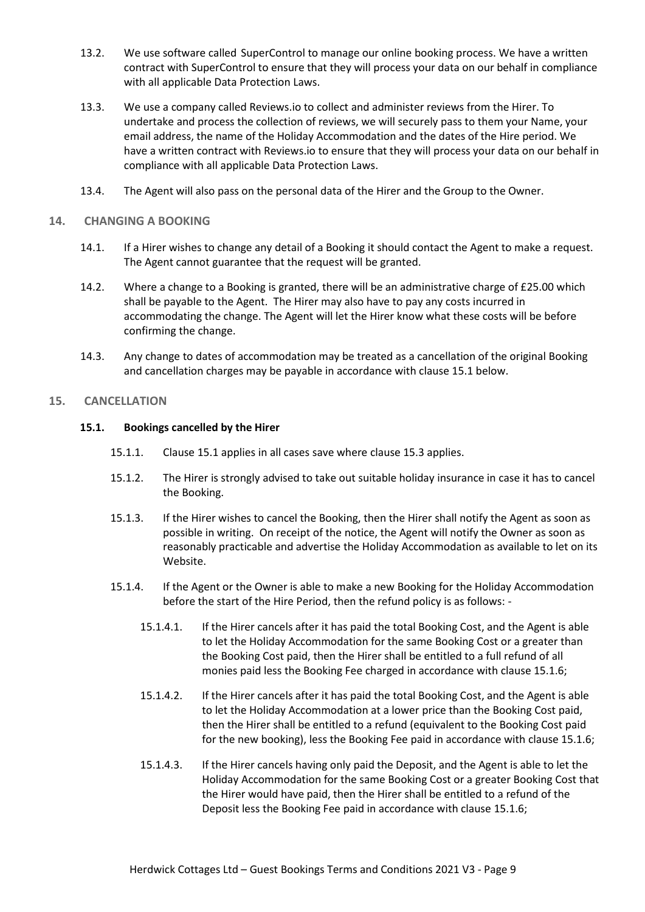- 13.2. We use software called SuperControl to manage our online booking process. We have a written contract with SuperControl to ensure that they will process your data on our behalf in compliance with all applicable Data Protection Laws.
- 13.3. We use a company called Reviews.io to collect and administer reviews from the Hirer. To undertake and process the collection of reviews, we will securely pass to them your Name, your email address, the name of the Holiday Accommodation and the dates of the Hire period. We have a written contract with Reviews.io to ensure that they will process your data on our behalf in compliance with all applicable Data Protection Laws.
- 13.4. The Agent will also pass on the personal data of the Hirer and the Group to the Owner.

## **14. CHANGING A BOOKING**

- 14.1. If a Hirer wishes to change any detail of a Booking it should contact the Agent to make a request. The Agent cannot guarantee that the request will be granted.
- 14.2. Where a change to a Booking is granted, there will be an administrative charge of £25.00 which shall be payable to the Agent. The Hirer may also have to pay any costs incurred in accommodating the change. The Agent will let the Hirer know what these costs will be before confirming the change.
- 14.3. Any change to dates of accommodation may be treated as a cancellation of the original Booking and cancellation charges may be payable in accordance with clause 15.1 below.

# **15. CANCELLATION**

# **15.1. Bookings cancelled by the Hirer**

- 15.1.1. Clause 15.1 applies in all cases save where clause 15.3 applies.
- 15.1.2. The Hirer is strongly advised to take out suitable holiday insurance in case it has to cancel the Booking.
- 15.1.3. If the Hirer wishes to cancel the Booking, then the Hirer shall notify the Agent as soon as possible in writing. On receipt of the notice, the Agent will notify the Owner as soon as reasonably practicable and advertise the Holiday Accommodation as available to let on its Website.
- 15.1.4. If the Agent or the Owner is able to make a new Booking for the Holiday Accommodation before the start of the Hire Period, then the refund policy is as follows: -
	- 15.1.4.1. If the Hirer cancels after it has paid the total Booking Cost, and the Agent is able to let the Holiday Accommodation for the same Booking Cost or a greater than the Booking Cost paid, then the Hirer shall be entitled to a full refund of all monies paid less the Booking Fee charged in accordance with clause 15.1.6;
	- 15.1.4.2. If the Hirer cancels after it has paid the total Booking Cost, and the Agent is able to let the Holiday Accommodation at a lower price than the Booking Cost paid, then the Hirer shall be entitled to a refund (equivalent to the Booking Cost paid for the new booking), less the Booking Fee paid in accordance with clause 15.1.6;
	- 15.1.4.3. If the Hirer cancels having only paid the Deposit, and the Agent is able to let the Holiday Accommodation for the same Booking Cost or a greater Booking Cost that the Hirer would have paid, then the Hirer shall be entitled to a refund of the Deposit less the Booking Fee paid in accordance with clause 15.1.6;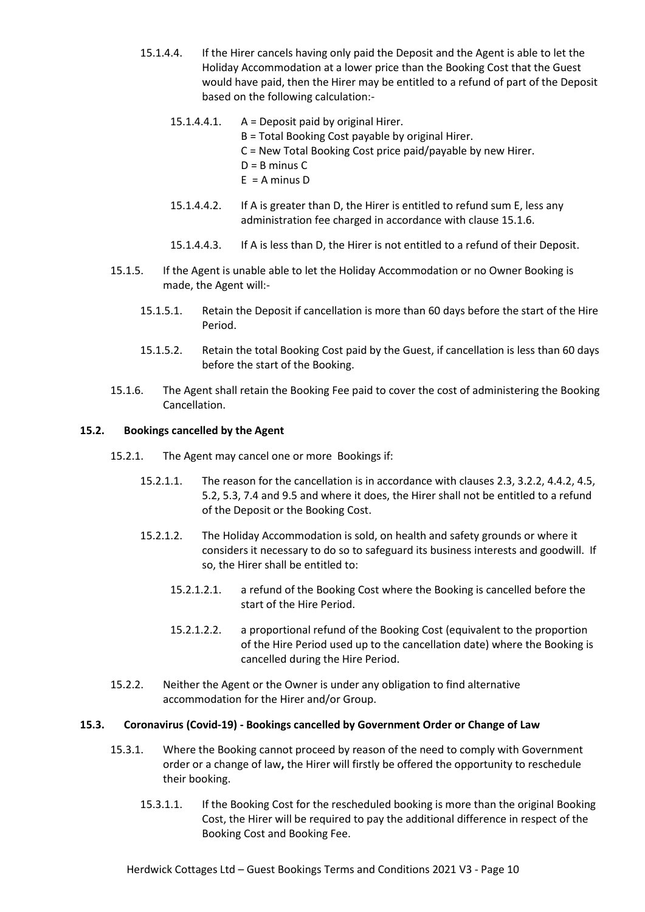- 15.1.4.4. If the Hirer cancels having only paid the Deposit and the Agent is able to let the Holiday Accommodation at a lower price than the Booking Cost that the Guest would have paid, then the Hirer may be entitled to a refund of part of the Deposit based on the following calculation:-
	- 15.1.4.4.1. A = Deposit paid by original Hirer.
		- B = Total Booking Cost payable by original Hirer.
		- C = New Total Booking Cost price paid/payable by new Hirer.
		- $D = B$  minus  $C$
		- $E = A$  minus D
	- 15.1.4.4.2. If A is greater than D, the Hirer is entitled to refund sum E, less any administration fee charged in accordance with clause 15.1.6.
	- 15.1.4.4.3. If A is less than D, the Hirer is not entitled to a refund of their Deposit.
- 15.1.5. If the Agent is unable able to let the Holiday Accommodation or no Owner Booking is made, the Agent will:-
	- 15.1.5.1. Retain the Deposit if cancellation is more than 60 days before the start of the Hire Period.
	- 15.1.5.2. Retain the total Booking Cost paid by the Guest, if cancellation is less than 60 days before the start of the Booking.
- 15.1.6. The Agent shall retain the Booking Fee paid to cover the cost of administering the Booking Cancellation.

# **15.2. Bookings cancelled by the Agent**

- 15.2.1. The Agent may cancel one or more Bookings if:
	- 15.2.1.1. The reason for the cancellation is in accordance with clauses 2.3, 3.2.2, 4.4.2, 4.5, 5.2, 5.3, 7.4 and 9.5 and where it does, the Hirer shall not be entitled to a refund of the Deposit or the Booking Cost.
	- 15.2.1.2. The Holiday Accommodation is sold, on health and safety grounds or where it considers it necessary to do so to safeguard its business interests and goodwill. If so, the Hirer shall be entitled to:
		- 15.2.1.2.1. a refund of the Booking Cost where the Booking is cancelled before the start of the Hire Period.
		- 15.2.1.2.2. a proportional refund of the Booking Cost (equivalent to the proportion of the Hire Period used up to the cancellation date) where the Booking is cancelled during the Hire Period.
- 15.2.2. Neither the Agent or the Owner is under any obligation to find alternative accommodation for the Hirer and/or Group.

## **15.3. Coronavirus (Covid-19) - Bookings cancelled by Government Order or Change of Law**

- 15.3.1. Where the Booking cannot proceed by reason of the need to comply with Government order or a change of law**,** the Hirer will firstly be offered the opportunity to reschedule their booking.
	- 15.3.1.1. If the Booking Cost for the rescheduled booking is more than the original Booking Cost, the Hirer will be required to pay the additional difference in respect of the Booking Cost and Booking Fee.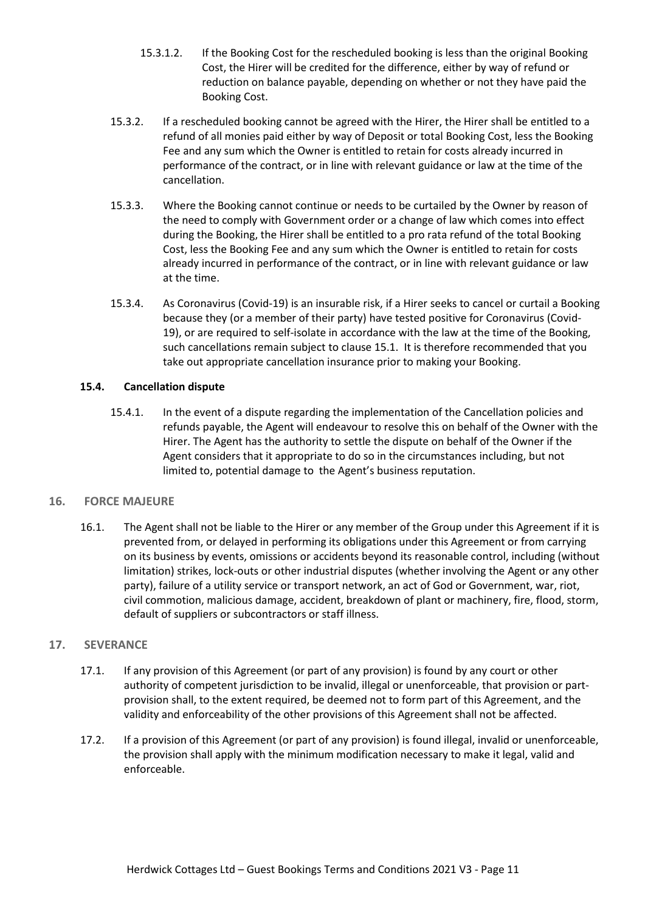- 15.3.1.2. If the Booking Cost for the rescheduled booking is less than the original Booking Cost, the Hirer will be credited for the difference, either by way of refund or reduction on balance payable, depending on whether or not they have paid the Booking Cost.
- 15.3.2. If a rescheduled booking cannot be agreed with the Hirer, the Hirer shall be entitled to a refund of all monies paid either by way of Deposit or total Booking Cost, less the Booking Fee and any sum which the Owner is entitled to retain for costs already incurred in performance of the contract, or in line with relevant guidance or law at the time of the cancellation.
- 15.3.3. Where the Booking cannot continue or needs to be curtailed by the Owner by reason of the need to comply with Government order or a change of law which comes into effect during the Booking, the Hirer shall be entitled to a pro rata refund of the total Booking Cost, less the Booking Fee and any sum which the Owner is entitled to retain for costs already incurred in performance of the contract, or in line with relevant guidance or law at the time.
- 15.3.4. As Coronavirus (Covid-19) is an insurable risk, if a Hirer seeks to cancel or curtail a Booking because they (or a member of their party) have tested positive for Coronavirus (Covid-19), or are required to self-isolate in accordance with the law at the time of the Booking, such cancellations remain subject to clause 15.1. It is therefore recommended that you take out appropriate cancellation insurance prior to making your Booking.

# **15.4. Cancellation dispute**

15.4.1. In the event of a dispute regarding the implementation of the Cancellation policies and refunds payable, the Agent will endeavour to resolve this on behalf of the Owner with the Hirer. The Agent has the authority to settle the dispute on behalf of the Owner if the Agent considers that it appropriate to do so in the circumstances including, but not limited to, potential damage to the Agent's business reputation.

# **16. FORCE MAJEURE**

16.1. The Agent shall not be liable to the Hirer or any member of the Group under this Agreement if it is prevented from, or delayed in performing its obligations under this Agreement or from carrying on its business by events, omissions or accidents beyond its reasonable control, including (without limitation) strikes, lock-outs or other industrial disputes (whether involving the Agent or any other party), failure of a utility service or transport network, an act of God or Government, war, riot, civil commotion, malicious damage, accident, breakdown of plant or machinery, fire, flood, storm, default of suppliers or subcontractors or staff illness.

# **17. SEVERANCE**

- 17.1. If any provision of this Agreement (or part of any provision) is found by any court or other authority of competent jurisdiction to be invalid, illegal or unenforceable, that provision or partprovision shall, to the extent required, be deemed not to form part of this Agreement, and the validity and enforceability of the other provisions of this Agreement shall not be affected.
- 17.2. If a provision of this Agreement (or part of any provision) is found illegal, invalid or unenforceable, the provision shall apply with the minimum modification necessary to make it legal, valid and enforceable.